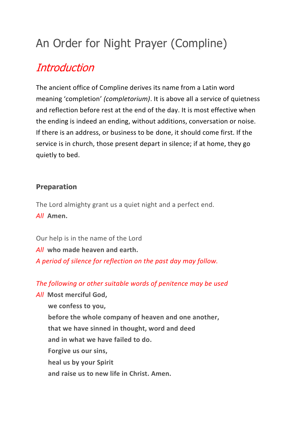# An Order for Night Prayer (Compline)

# [Introduction](https://www.churchofengland.org/prayer-and-worship/worship-texts-and-resources/common-worship/daily-prayer/night-prayer-compline#ch9a)

The ancient office of Compline derives its name from a Latin word meaning 'completion' *(completorium)*. It is above all a service of quietness and reflection before rest at the end of the day. It is most effective when the ending is indeed an ending, without additions, conversation or noise. If there is an address, or business to be done, it should come first. If the service is in church, those present depart in silence; if at home, they go quietly to bed.

#### **Preparation**

The Lord almighty grant us a quiet night and a perfect end. *All* **Amen.**

Our help is in the name of the Lord *All* **who made heaven and earth.** *A period of silence for reflection on the past day may follow.*

*The following or other suitable words of penitence may be used*

*All* **Most merciful God, we confess to you, before the whole company of heaven and one another, that we have sinned in thought, word and deed and in what we have failed to do. Forgive us our sins, heal us by your Spirit and raise us to new life in Christ. Amen.**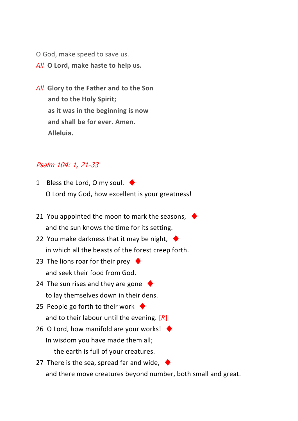O God, make speed to save us.

*All* **O Lord, make haste to help us.**

*All* **Glory to the Father and to the Son and to the Holy Spirit; as it was in the beginning is now and shall be for ever. Amen. Alleluia.**

#### Psalm 104: 1, 21-33

- 1 Bless the Lord, O my soul.  $\blacklozenge$ O Lord my God, how excellent is your greatness!
- 21 You appointed the moon to mark the seasons,  $\blacklozenge$ and the sun knows the time for its setting.
- 22 You make darkness that it may be night,  $\blacklozenge$ in which all the beasts of the forest creep forth.
- 23 The lions roar for their prey  $\blacklozenge$ and seek their food from God.
- 24 The sun rises and they are gone  $\blacklozenge$ to lay themselves down in their dens.
- 25 People go forth to their work  $\blacklozenge$ and to their labour until the evening. [*R*]
- 26 O Lord, how manifold are your works!  $\blacklozenge$ In wisdom you have made them all; the earth is full of your creatures.
- 27 There is the sea, spread far and wide,  $\blacklozenge$ and there move creatures beyond number, both small and great.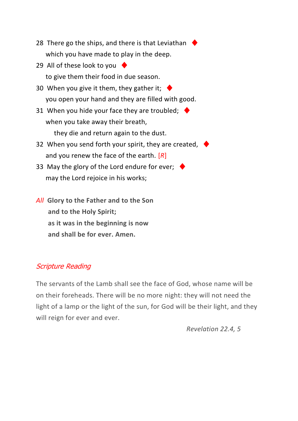- 28 There go the ships, and there is that Leviathan which you have made to play in the deep.
- 29 All of these look to you  $\blacklozenge$ to give them their food in due season.
- 30 When you give it them, they gather it; you open your hand and they are filled with good.
- 31 When you hide your face they are troubled;  $\blacklozenge$ when you take away their breath, they die and return again to the dust.
- 32 When you send forth your spirit, they are created,  $\rightarrow$ and you renew the face of the earth. [*R*]
- 33 May the glory of the Lord endure for ever;  $\blacklozenge$ may the Lord rejoice in his works;
- *All* **Glory to the Father and to the Son and to the Holy Spirit; as it was in the beginning is now and shall be for ever. Amen.**

# Scripture Reading

The servants of the Lamb shall see the face of God, whose name will be on their foreheads. There will be no more night: they will not need the light of a lamp or the light of the sun, for God will be their light, and they will reign for ever and ever.

*Revelation 22.4, 5*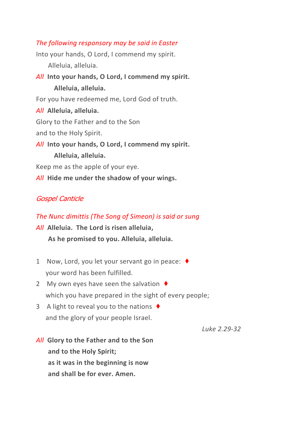#### *The following responsory may be said in Easter*

Into your hands, O Lord, I commend my spirit. Alleluia, alleluia. *All* **Into your hands, O Lord, I commend my spirit. Alleluia, alleluia.** For you have redeemed me, Lord God of truth. *All* **Alleluia, alleluia.** Glory to the Father and to the Son

and to the Holy Spirit.

*All* **Into your hands, O Lord, I commend my spirit. Alleluia, alleluia.**

Keep me as the apple of your eye.

*All* **Hide me under the shadow of your wings.**

# Gospel Canticle

#### *The Nunc dimittis (The Song of Simeon) is said or sung*

*All* **Alleluia. The Lord is risen alleluia, As he promised to you. Alleluia, alleluia.**

- 1 Now, Lord, you let your servant go in peace: ♦ your word has been fulfilled.
- 2 My own eyes have seen the salvation  $\blacklozenge$ which you have prepared in the sight of every people;
- 3 A light to reveal you to the nations  $\blacklozenge$ and the glory of your people Israel.

*Luke 2.29-32*

*All* **Glory to the Father and to the Son and to the Holy Spirit; as it was in the beginning is now and shall be for ever. Amen.**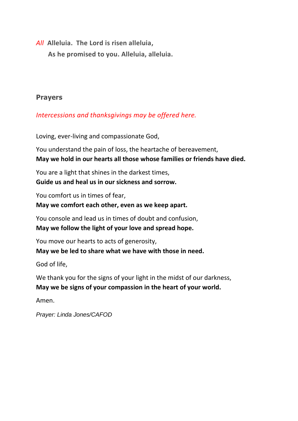*All* **Alleluia. The Lord is risen alleluia,**

**As he promised to you. Alleluia, alleluia.**

# **Prayers**

### *Intercessions and thanksgivings may be offered here.*

Loving, ever-living and compassionate God,

You understand the pain of loss, the heartache of bereavement, **May we hold in our hearts all those whose families or friends have died.**

You are a light that shines in the darkest times, **Guide us and heal us in our sickness and sorrow.**

You comfort us in times of fear,

#### **May we comfort each other, even as we keep apart.**

You console and lead us in times of doubt and confusion, **May we follow the light of your love and spread hope.**

You move our hearts to acts of generosity, **May we be led to share what we have with those in need.**

God of life,

We thank you for the signs of your light in the midst of our darkness, **May we be signs of your compassion in the heart of your world.**

Amen.

*Prayer: Linda Jones/CAFOD*